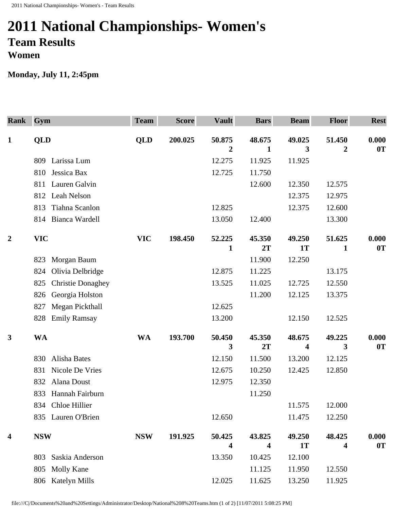## **2011 National Championships- Women's Team Results Women**

## **Monday, July 11, 2:45pm**

| <b>Rank</b>      | Gym                             | <b>Team</b> | <b>Score</b> | <b>Vault</b>            | <b>Bars</b>  | <b>Beam</b> | <b>Floor</b> | <b>Rest</b> |
|------------------|---------------------------------|-------------|--------------|-------------------------|--------------|-------------|--------------|-------------|
| $\mathbf{1}$     | <b>QLD</b>                      | <b>QLD</b>  | 200.025      | 50.875                  | 48.675       | 49.025      | 51.450       | 0.000       |
|                  |                                 |             |              | 2                       | $\mathbf{1}$ | 3           | $\mathbf 2$  | 0T          |
|                  | 809 Larissa Lum                 |             |              | 12.275                  | 11.925       | 11.925      |              |             |
|                  | Jessica Bax<br>810              |             |              | 12.725                  | 11.750       |             |              |             |
|                  | Lauren Galvin<br>811            |             |              |                         | 12.600       | 12.350      | 12.575       |             |
|                  | 812 Leah Nelson                 |             |              |                         |              | 12.375      | 12.975       |             |
|                  | Tiahna Scanlon<br>813           |             |              | 12.825                  |              | 12.375      | 12.600       |             |
|                  | 814 Bianca Wardell              |             |              | 13.050                  | 12.400       |             | 13.300       |             |
| $\boldsymbol{2}$ | <b>VIC</b>                      | <b>VIC</b>  | 198.450      | 52.225                  | 45.350       | 49.250      | 51.625       | 0.000       |
|                  |                                 |             |              | 1                       | 2T           | <b>1T</b>   | 1            | 0T          |
|                  | Morgan Baum<br>823              |             |              |                         | 11.900       | 12.250      |              |             |
|                  | Olivia Delbridge<br>824         |             |              | 12.875                  | 11.225       |             | 13.175       |             |
|                  | <b>Christie Donaghey</b><br>825 |             |              | 13.525                  | 11.025       | 12.725      | 12.550       |             |
|                  | Georgia Holston<br>826          |             |              |                         | 11.200       | 12.125      | 13.375       |             |
|                  | Megan Pickthall<br>827          |             |              | 12.625                  |              |             |              |             |
|                  | <b>Emily Ramsay</b><br>828      |             |              | 13.200                  |              | 12.150      | 12.525       |             |
| $\mathbf{3}$     | <b>WA</b>                       | <b>WA</b>   | 193.700      | 50.450                  | 45.350       | 48.675      | 49.225       | 0.000       |
|                  |                                 |             |              | 3                       | 2T           | 4           | 3            | 0T          |
|                  | Alisha Bates<br>830             |             |              | 12.150                  | 11.500       | 13.200      | 12.125       |             |
|                  | Nicole De Vries<br>831          |             |              | 12.675                  | 10.250       | 12.425      | 12.850       |             |
|                  | Alana Doust<br>832              |             |              | 12.975                  | 12.350       |             |              |             |
|                  | Hannah Fairburn<br>833          |             |              |                         | 11.250       |             |              |             |
|                  | 834 Chloe Hillier               |             |              |                         |              | 11.575      | 12.000       |             |
|                  | 835 Lauren O'Brien              |             |              | 12.650                  |              | 11.475      | 12.250       |             |
| 4                | <b>NSW</b>                      | <b>NSW</b>  | 191.925      | 50.425                  | 43.825       | 49.250      | 48.425       | 0.000       |
|                  |                                 |             |              | $\overline{\mathbf{4}}$ | 4            | <b>1T</b>   | 4            | 0T          |
|                  | Saskia Anderson<br>803          |             |              | 13.350                  | 10.425       | 12.100      |              |             |
|                  | Molly Kane<br>805               |             |              |                         | 11.125       | 11.950      | 12.550       |             |
|                  | Katelyn Mills<br>806            |             |              | 12.025                  | 11.625       | 13.250      | 11.925       |             |